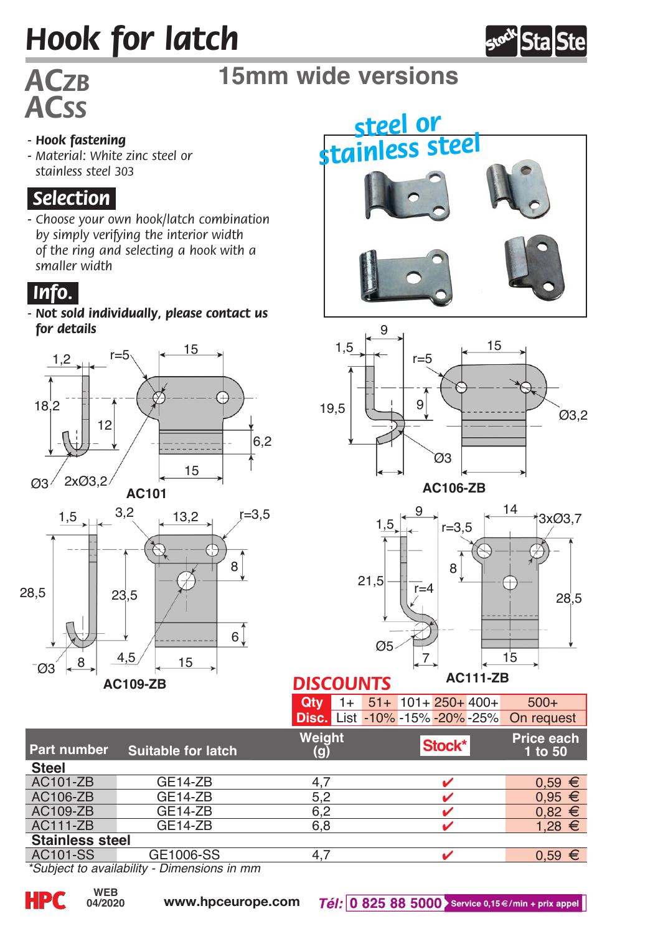# *Hook for latch*



# *ACss*

## *ACzb* **15mm wide versions**

#### *- Hook fastening*

*- Material: White zinc steel or stainless steel 303*

#### *.Selection.*

*- Choose your own hook/latch combination by simply verifying the interior width of the ring and selecting a hook with a smaller width*



*- Not sold individually, please contact us for details*











## *DISCOUNTS*

| $Qty = 1 + 51 + 101 + 250 + 400 +$ |  |  |                        | $500+$                                           |
|------------------------------------|--|--|------------------------|--------------------------------------------------|
|                                    |  |  |                        | <b>Disc.</b> List -10% -15% -20% -25% On request |
| Weight                             |  |  | $\vert$ Stock* $\vert$ | Price each                                       |

| Part number            | <b>Suitable for latch</b> | Weiaht | Stock* | <b>Price each</b><br>1 to 50 |  |  |  |
|------------------------|---------------------------|--------|--------|------------------------------|--|--|--|
| <b>Steel</b>           |                           |        |        |                              |  |  |  |
| AC101-ZB               | GE14-ZB                   |        |        | $0.59 \in$                   |  |  |  |
| AC106-ZB               | GE14-ZB                   | 5.2    |        | $0.95 \in$                   |  |  |  |
| AC109-ZB               | GE14-ZB                   | 6.2    |        | $0.82 \in$                   |  |  |  |
| <b>AC111-ZB</b>        | GE14-ZB                   | 6.8    |        | $1.28 \t∈$                   |  |  |  |
| <b>Stainless steel</b> |                           |        |        |                              |  |  |  |
| AC101-SS               | GE1006-SS                 |        |        | 0.59                         |  |  |  |

*\*Subject to availability - Dimensions in mm*

**04/2020**

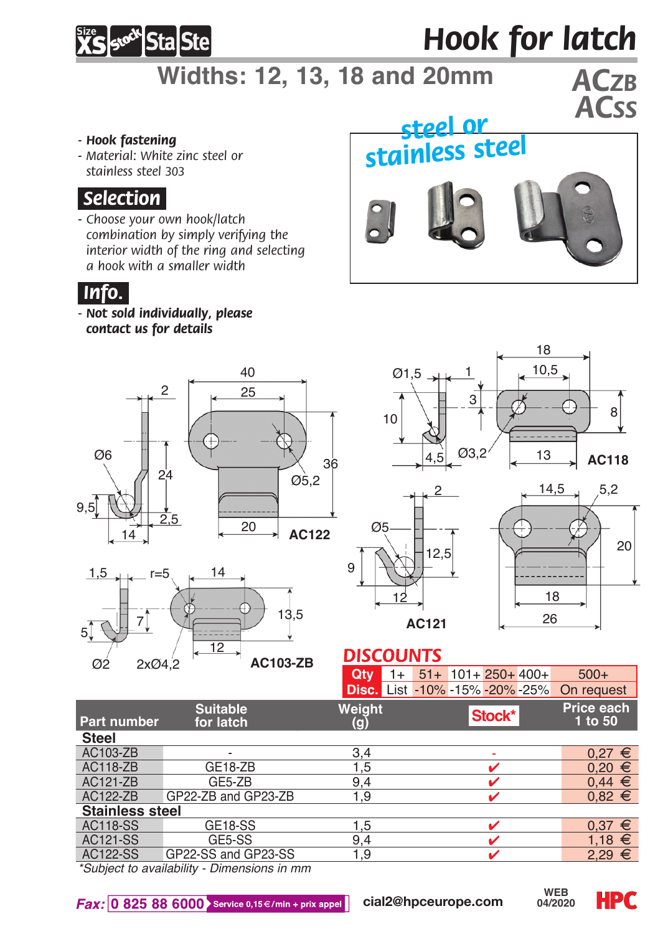

## *Hook for latch*

## **Widths: 12, 13, 18 and 20mm** *ACzb*

#### *- Hook fastening*

*- Material: White zinc steel or stainless steel 303*

#### *.Selection.*

*- Choose your own hook/latch combination by simply verifying the interior width of the ring and selecting a hook with a smaller width*



#### *.Info..*

*- Not sold individually, please contact us for details*











#### *DISCOUNTS*

| <b>Ctv</b> $1+ 51+ 101+ 250+ 400+$ |  |       | $500+$                                    |
|------------------------------------|--|-------|-------------------------------------------|
|                                    |  |       | Disc. List -10% -15% -20% -25% On request |
| Weight                             |  | erack | Price each                                |

| Part number            | Suitable<br>for latch | Weiaht<br>O) | Stock* | Price each<br>1 to 50 |  |  |  |
|------------------------|-----------------------|--------------|--------|-----------------------|--|--|--|
| <b>Steel</b>           |                       |              |        |                       |  |  |  |
| AC103-ZB               |                       | 3,4          |        | €<br>0.27             |  |  |  |
| <b>AC118-ZB</b>        | <b>GE18-ZB</b>        | 1.5          |        | $0.20 \in$            |  |  |  |
| AC121-ZB               | GE5-ZB                | 9.4          |        | $0,44 \in$            |  |  |  |
| AC122-ZB               | GP22-ZB and GP23-ZB   | 1.9          |        | $0.82 \in$            |  |  |  |
| <b>Stainless steel</b> |                       |              |        |                       |  |  |  |
| AC118-SS               | GE18-SS               | 1,5          |        | €<br>0.37             |  |  |  |
| <b>AC121-SS</b>        | GE5-SS                | 9.4          |        | 1.18 $∈$              |  |  |  |
| AC122-SS               | GP22-SS and GP23-SS   | 1.9          |        | $2.29 \in$            |  |  |  |
|                        |                       |              |        |                       |  |  |  |

*\*Subject to availability - Dimensions in mm*

Fax: 0 825 88 6000 Service 0,15€/min + prix appel